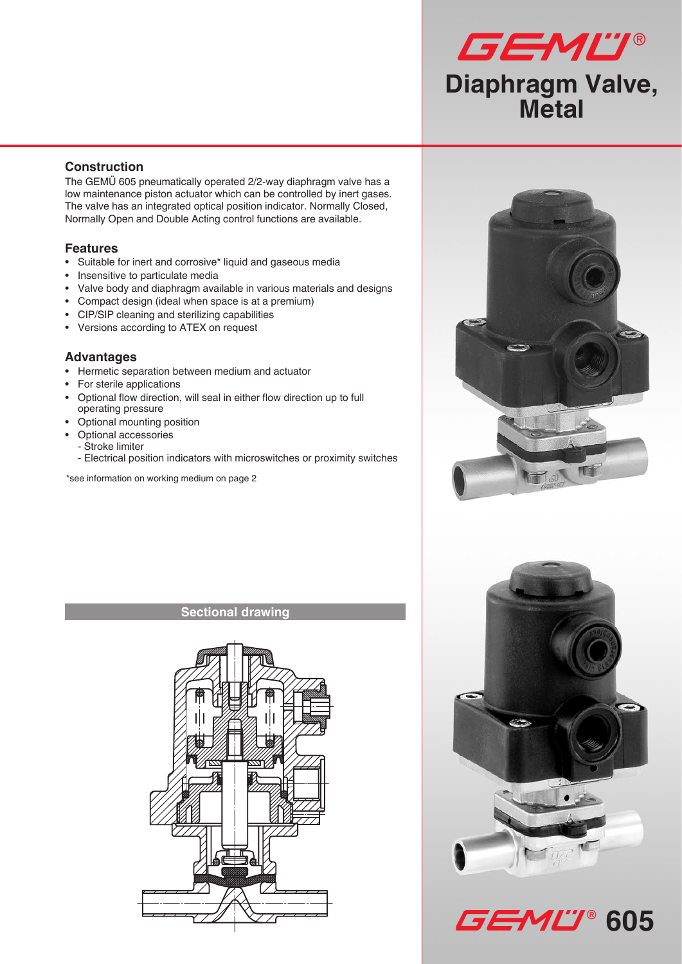

## **Construction**

The GEMÜ 605 pneumatically operated 2/2-way diaphragm valve has a low maintenance piston actuator which can be controlled by inert gases. The valve has an integrated optical position indicator. Normally Closed, Normally Open and Double Acting control functions are available.

## **Features**

- • Suitable for inert and corrosive\* liquid and gaseous media
- Insensitive to particulate media
- Valve body and diaphragm available in various materials and designs
- Compact design (ideal when space is at a premium)
- CIP/SIP cleaning and sterilizing capabilities
- • Versions according to ATEX on request

### **Advantages**

- • Hermetic separation between medium and actuator
- • For sterile applications
- • Optional flow direction, will seal in either flow direction up to full operating pressure
- • Optional mounting position
- Optional accessories
	- Stroke limiter
	- Electrical position indicators with microswitches or proximity switches

\*see information on working medium on page 2

### **Sectional drawing**







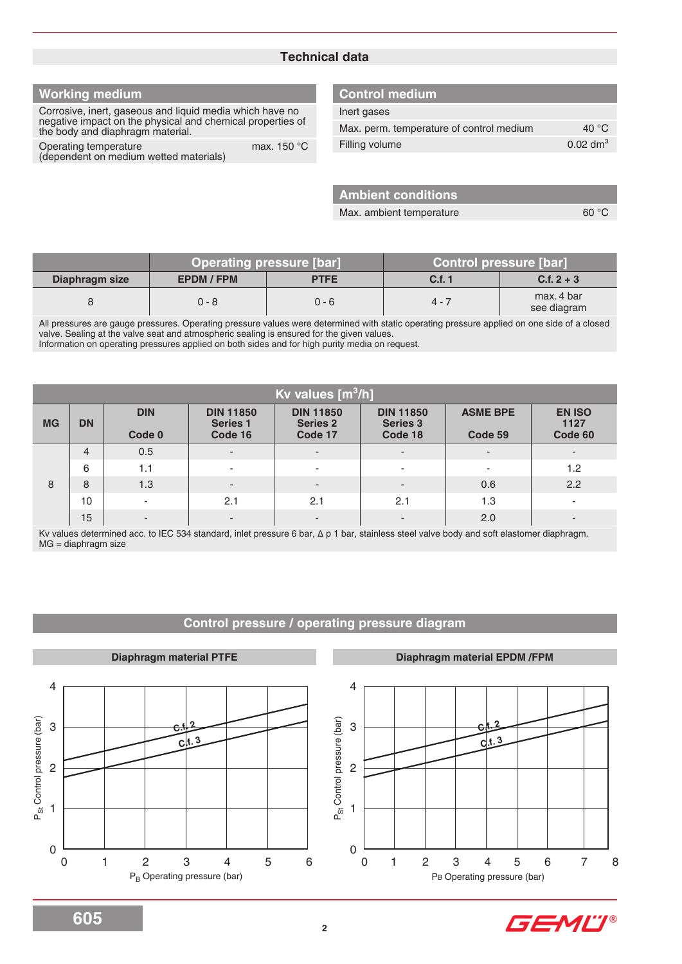### **Technical data**

## **Working medium**

Corrosive, inert, gaseous and liquid media which have no negative impact on the physical and chemical properties of the body and diaphragm material.

Operating temperature max. 150 °C (dependent on medium wetted materials)

#### **Control medium**

| Inert gases                              |                     |
|------------------------------------------|---------------------|
| Max. perm. temperature of control medium | 40 $\degree$ C      |
| Filling volume                           | $0.02 \text{ dm}^3$ |

**Ambient conditions**

Max. ambient temperature 60 °C

|                |                 | <b>Operating pressure [bar]</b> | Control pressure [bar] |                           |  |  |
|----------------|-----------------|---------------------------------|------------------------|---------------------------|--|--|
| Diaphragm size | <b>EPDM/FPM</b> | <b>PTFE</b>                     | C.f. 1                 | $C.f. 2 + 3$              |  |  |
|                | 0 - 8           | 0 - 6                           | $4 - 7$                | max, 4 bar<br>see diagram |  |  |

All pressures are gauge pressures. Operating pressure values were determined with static operating pressure applied on one side of a closed valve. Sealing at the valve seat and atmospheric sealing is ensured for the given values.

Information on operating pressures applied on both sides and for high purity media on request.

|           | Kv values [m <sup>3</sup> /h] |                          |                                                |                                                |                                                |                            |                                  |  |  |  |
|-----------|-------------------------------|--------------------------|------------------------------------------------|------------------------------------------------|------------------------------------------------|----------------------------|----------------------------------|--|--|--|
| <b>MG</b> | <b>DN</b>                     | <b>DIN</b><br>Code 0     | <b>DIN 11850</b><br><b>Series 1</b><br>Code 16 | <b>DIN 11850</b><br><b>Series 2</b><br>Code 17 | <b>DIN 11850</b><br><b>Series 3</b><br>Code 18 | <b>ASME BPE</b><br>Code 59 | <b>EN ISO</b><br>1127<br>Code 60 |  |  |  |
|           | $\overline{4}$                | 0.5                      | $\overline{\phantom{a}}$                       | $\overline{\phantom{a}}$                       | $\overline{\phantom{a}}$                       | $\overline{\phantom{a}}$   | ۰.                               |  |  |  |
|           | 6                             | 1.1                      | $\overline{\phantom{0}}$                       | ٠                                              | $\sim$                                         | ۰                          | 1.2                              |  |  |  |
| 8         | 8                             | 1.3                      | $\overline{\phantom{0}}$                       | $\overline{\phantom{a}}$                       | $\overline{\phantom{a}}$                       | 0.6                        | 2.2                              |  |  |  |
|           | 10                            | $\overline{\phantom{a}}$ | 2.1                                            | 2.1                                            | 2.1                                            | 1.3                        | $\overline{\phantom{a}}$         |  |  |  |
|           | 15                            | $\overline{\phantom{a}}$ | $\overline{\phantom{a}}$                       | $\overline{\phantom{a}}$                       | $\overline{\phantom{a}}$                       | 2.0                        | -                                |  |  |  |

Kv values determined acc. to IEC 534 standard, inlet pressure 6 bar, ∆ p 1 bar, stainless steel valve body and soft elastomer diaphragm. MG = diaphragm size

#### **Control pressure / operating pressure diagram**



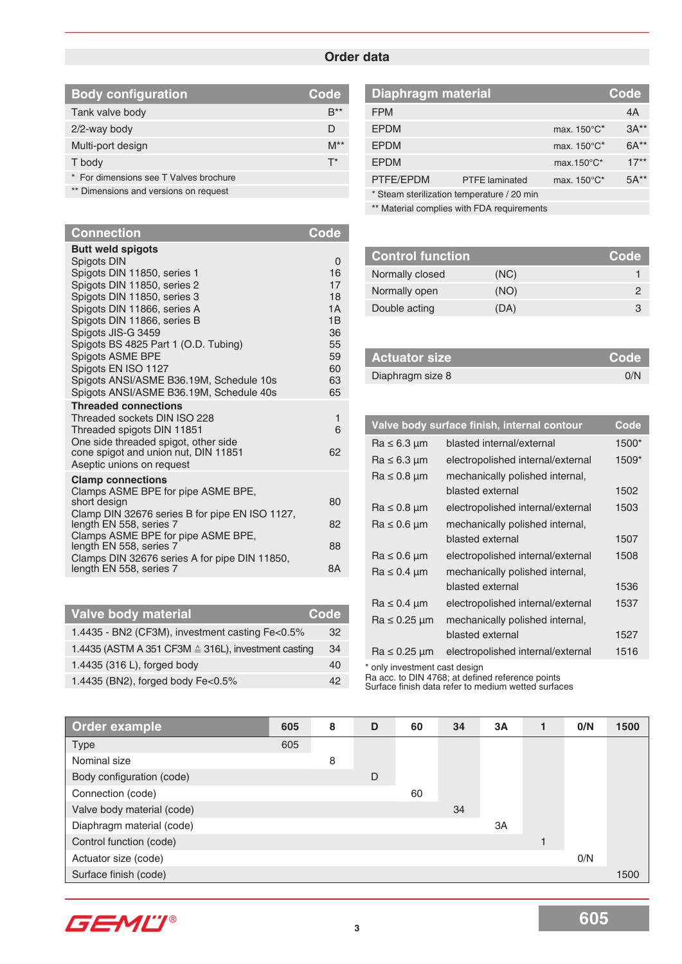### **Order data**

| <b>Body configuration</b>              | Code     |
|----------------------------------------|----------|
| Tank valve body                        | B**      |
| $2/2$ -way body                        | D        |
| Multi-port design                      | $M^{**}$ |
| T body                                 | $T^*$    |
| * For dimensions see T Valves brochure |          |
|                                        |          |

\*\* Dimensions and versions on request

| <b>Connection</b>                                                                                                                                                                                                                                                                                                                                                                                                                                                | <b>Code</b>                                                              |
|------------------------------------------------------------------------------------------------------------------------------------------------------------------------------------------------------------------------------------------------------------------------------------------------------------------------------------------------------------------------------------------------------------------------------------------------------------------|--------------------------------------------------------------------------|
| <b>Butt weld spigots</b><br>Spigots DIN<br>Spigots DIN 11850, series 1<br>Spigots DIN 11850, series 2<br>Spigots DIN 11850, series 3<br>Spigots DIN 11866, series A<br>Spigots DIN 11866, series B<br>Spigots JIS-G 3459<br>Spigots BS 4825 Part 1 (O.D. Tubing)<br>Spigots ASME BPE<br>Spigots EN ISO 1127<br>Spigots ANSI/ASME B36.19M, Schedule 10s<br>Spigots ANSI/ASME B36.19M, Schedule 40s<br><b>Threaded connections</b><br>Threaded sockets DIN ISO 228 | 0<br>16<br>17<br>18<br>1A<br>1B<br>36<br>55<br>59<br>60<br>63<br>65<br>1 |
| Threaded spigots DIN 11851<br>One side threaded spigot, other side<br>cone spigot and union nut, DIN 11851<br>Aseptic unions on request                                                                                                                                                                                                                                                                                                                          | 6<br>62                                                                  |
| <b>Clamp connections</b>                                                                                                                                                                                                                                                                                                                                                                                                                                         |                                                                          |
| Clamps ASME BPE for pipe ASME BPE,<br>short design                                                                                                                                                                                                                                                                                                                                                                                                               | 80                                                                       |
| Clamp DIN 32676 series B for pipe EN ISO 1127,<br>length EN 558, series 7                                                                                                                                                                                                                                                                                                                                                                                        | 82                                                                       |
| Clamps ASME BPE for pipe ASME BPE,<br>length EN 558, series 7                                                                                                                                                                                                                                                                                                                                                                                                    | 88                                                                       |
| Clamps DIN 32676 series A for pipe DIN 11850,<br>length EN 558, series 7                                                                                                                                                                                                                                                                                                                                                                                         | 8Α                                                                       |

| <b>Valve body material</b>                                     | Code |
|----------------------------------------------------------------|------|
| 1.4435 - BN2 (CF3M), investment casting Fe<0.5%                | 32   |
| 1.4435 (ASTM A 351 CF3M $\triangleq$ 316L), investment casting | 34   |
| 1.4435 (316 L), forged body                                    | 40   |
| 1.4435 (BN2), forged body Fe<0.5%                              | 42   |

| Diaphragm material<br>Code                 |                       |                                   |         |  |  |  |
|--------------------------------------------|-----------------------|-----------------------------------|---------|--|--|--|
| <b>FPM</b>                                 |                       |                                   | 4A      |  |  |  |
| <b>EPDM</b>                                |                       | max. $150^{\circ}$ C <sup>*</sup> | $3A**$  |  |  |  |
| <b>EPDM</b>                                |                       | max. $150^{\circ}$ C <sup>*</sup> | $6A***$ |  |  |  |
| <b>EPDM</b>                                |                       | max.150 $\degree$ C*              | $17**$  |  |  |  |
| PTFE/EPDM                                  | <b>PTFE</b> laminated | max. $150^{\circ}$ C*             | $5A**$  |  |  |  |
| * Steam sterilization temperature / 20 min |                       |                                   |         |  |  |  |

\*\* Material complies with FDA requirements

| <b>Control function</b> |      | Code |
|-------------------------|------|------|
| Normally closed         | (NC) |      |
| Normally open           | (NO) |      |
| Double acting           | (DA) |      |

| <b>Actuator size</b> | ∣ Code' |
|----------------------|---------|
| Diaphragm size 8     | 0/N     |

|                      | Valve body surface finish, internal contour | Code  |
|----------------------|---------------------------------------------|-------|
| $Ra \leq 6.3 \mu m$  | blasted internal/external                   | 1500* |
| $Ra \leq 6.3 \mu m$  | electropolished internal/external           | 1509* |
| $Ra \leq 0.8 \mu m$  | mechanically polished internal,             |       |
|                      | blasted external                            | 1502  |
| $Ra \leq 0.8 \mu m$  | electropolished internal/external           | 1503  |
| $Ra \leq 0.6 \mu m$  | mechanically polished internal,             |       |
|                      | blasted external                            | 1507  |
| $Ra \leq 0.6 \mu m$  | electropolished internal/external           | 1508  |
| $Ra \leq 0.4 \mu m$  | mechanically polished internal,             |       |
|                      | blasted external                            | 1536  |
| $Ra \leq 0.4 \mu m$  | electropolished internal/external           | 1537  |
| $Ra \leq 0.25 \mu m$ | mechanically polished internal,             |       |
|                      | blasted external                            | 1527  |
| $Ra \leq 0.25 \mu m$ | electropolished internal/external           | 1516  |
|                      |                                             |       |

\* only investment cast design

Ra acc. to DIN 4768; at defined reference points Surface finish data refer to medium wetted surfaces

| Order example              | 605 | 8 | D | 60 | 34 | 3A | 0/N | 1500 |
|----------------------------|-----|---|---|----|----|----|-----|------|
| Type                       | 605 |   |   |    |    |    |     |      |
| Nominal size               |     | 8 |   |    |    |    |     |      |
| Body configuration (code)  |     |   | D |    |    |    |     |      |
| Connection (code)          |     |   |   | 60 |    |    |     |      |
| Valve body material (code) |     |   |   |    | 34 |    |     |      |
| Diaphragm material (code)  |     |   |   |    |    | 3A |     |      |
| Control function (code)    |     |   |   |    |    |    |     |      |
| Actuator size (code)       |     |   |   |    |    |    | 0/N |      |
| Surface finish (code)      |     |   |   |    |    |    |     | 1500 |

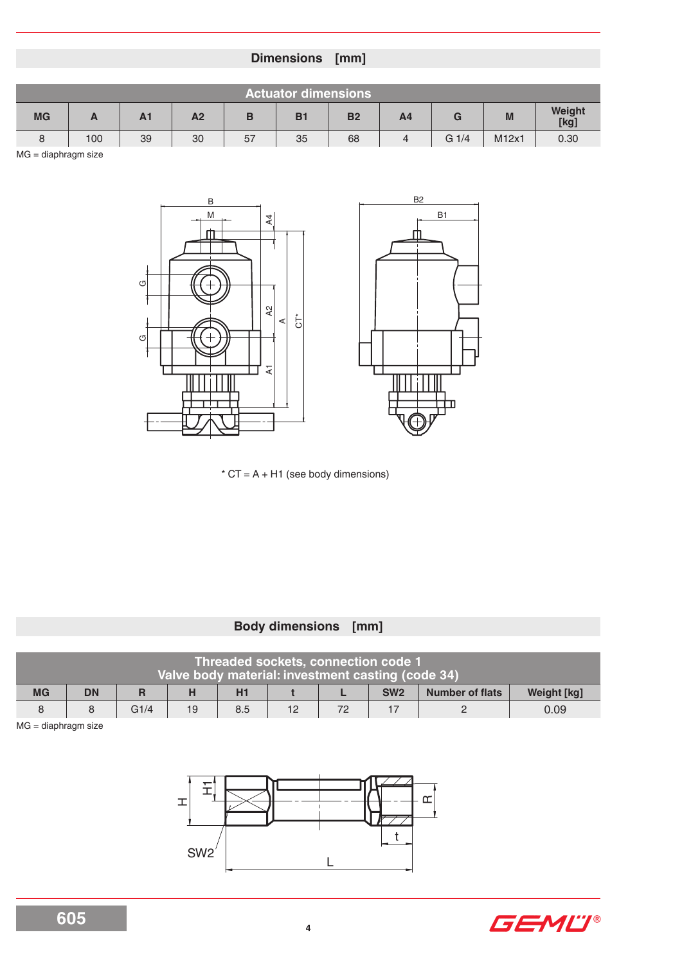# **Dimensions [mm]**

|    | <b>Actuator dimensions</b> |                |                |    |                |           |                |                  |       |                |
|----|----------------------------|----------------|----------------|----|----------------|-----------|----------------|------------------|-------|----------------|
| MG | n                          | A <sub>1</sub> | A <sub>2</sub> | в  | B <sub>1</sub> | <b>B2</b> | A <sub>4</sub> | G                | M     | Weight<br>[kg] |
|    | 100                        | 39             | 30             | 57 | 35             | 68        | 4              | G <sub>1/4</sub> | M12x1 | 0.30           |

MG = diaphragm size



 $*$  CT = A + H1 (see body dimensions)

# **Body dimensions [mm]**

|           |           |      |    | Threaded sockets, connection code 1<br>Valve body material: investment casting (code 34) |    |    |                 |                        |                    |
|-----------|-----------|------|----|------------------------------------------------------------------------------------------|----|----|-----------------|------------------------|--------------------|
| <b>MG</b> | <b>DN</b> |      |    | H1                                                                                       |    |    | SW <sub>2</sub> | <b>Number of flats</b> | <b>Weight [kg]</b> |
|           |           | G1/4 | 19 | 8.5                                                                                      | 12 | 72 |                 |                        | 0.09               |

MG = diaphragm size



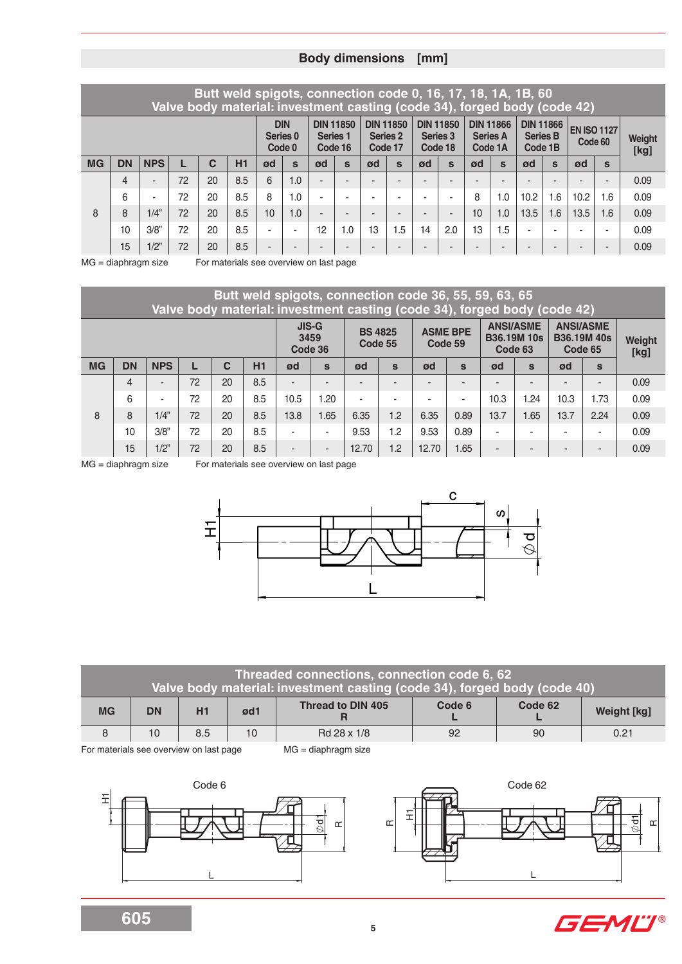# **Body dimensions [mm]**

|           | Butt weld spigots, connection code 0, 16, 17, 18, 1A, 1B, 60<br>Valve body material: investment casting (code 34), forged body (code 42) |                          |    |                                             |           |                |                                                |    |                                         |    |                                         |                          |                                                |    |                                                |                               |              |                |     |      |
|-----------|------------------------------------------------------------------------------------------------------------------------------------------|--------------------------|----|---------------------------------------------|-----------|----------------|------------------------------------------------|----|-----------------------------------------|----|-----------------------------------------|--------------------------|------------------------------------------------|----|------------------------------------------------|-------------------------------|--------------|----------------|-----|------|
|           |                                                                                                                                          |                          |    | <b>DIN</b><br>Series <sub>0</sub><br>Code 0 |           |                | <b>DIN 11850</b><br><b>Series 1</b><br>Code 16 |    | <b>DIN 11850</b><br>Series 2<br>Code 17 |    | <b>DIN 11850</b><br>Series 3<br>Code 18 |                          | <b>DIN 11866</b><br><b>Series A</b><br>Code 1A |    | <b>DIN 11866</b><br><b>Series B</b><br>Code 1B | <b>EN ISO 1127</b><br>Code 60 |              | Weight<br>[kg] |     |      |
| <b>MG</b> | <b>DN</b>                                                                                                                                | <b>NPS</b>               |    | $\mathbf C$                                 | <b>H1</b> | ød             | $\mathbf{s}$                                   | ød | $\mathbf{s}$                            | ød | $\mathbf{s}$                            | ød                       | $\mathbf{s}$                                   | ød | $\mathbf{s}$                                   | ød                            | $\mathbf{s}$ | ød             | S   |      |
|           | 4                                                                                                                                        | $\overline{\phantom{a}}$ | 72 | 20                                          | 8.5       | 6              | 1.0                                            |    | <b>1</b>                                |    |                                         | $\overline{\phantom{a}}$ |                                                |    | $\overline{\phantom{a}}$                       |                               |              |                | -   | 0.09 |
|           | 6                                                                                                                                        | ۰                        | 72 | 20                                          | 8.5       | 8              | 1.0                                            |    | -                                       |    |                                         |                          | ٠                                              | 8  | 1.0                                            | 10.2                          | 1.6          | 10.2           | 1.6 | 0.09 |
| 8         | 8                                                                                                                                        | 1/4"                     | 72 | 20                                          | 8.5       | 10             | 1.0                                            |    | -                                       | -  |                                         | $\overline{\phantom{0}}$ | -                                              | 10 | 1.0                                            | 13.5                          | 1.6          | 13.5           | 1.6 | 0.09 |
|           | 10                                                                                                                                       | 3/8"                     | 72 | 20                                          | 8.5       | ٠              | ٠                                              | 12 | 1.0                                     | 13 | 1.5                                     | 14                       | 2.0                                            | 13 | 1.5                                            | $\overline{\phantom{a}}$      |              |                | -   | 0.09 |
|           | 15                                                                                                                                       | 1/2"                     | 72 | 20                                          | 8.5       | $\overline{a}$ | -                                              |    | -                                       |    |                                         | $\overline{\phantom{a}}$ |                                                |    | -                                              | -                             |              |                | -   | 0.09 |

MG = diaphragm size For materials see overview on last page

|           | Butt weld spigots, connection code 36, 55, 59, 63, 65<br>Valve body material: investment casting (code 34), forged body (code 42) |            |    |              |     |                          |                          |                           |              |                            |              |                                                   |              |         |                                       |                |  |
|-----------|-----------------------------------------------------------------------------------------------------------------------------------|------------|----|--------------|-----|--------------------------|--------------------------|---------------------------|--------------|----------------------------|--------------|---------------------------------------------------|--------------|---------|---------------------------------------|----------------|--|
|           |                                                                                                                                   |            |    |              |     | 3459<br>Code 36          | <b>JIS-G</b>             | <b>BS 4825</b><br>Code 55 |              | <b>ASME BPE</b><br>Code 59 |              | <b>ANSI/ASME</b><br><b>B36.19M 10s</b><br>Code 63 |              | Code 65 | <b>ANSI/ASME</b><br><b>B36.19M40s</b> | Weight<br>[kg] |  |
| <b>MG</b> | <b>DN</b>                                                                                                                         | <b>NPS</b> |    | $\mathbf{C}$ | H1  | ød                       | $\mathbf{s}$             | ød                        | $\mathbf{s}$ | ød                         | $\mathbf{s}$ | ød                                                | $\mathbf{s}$ | ød      | $\mathbf{s}$                          |                |  |
|           | $\overline{4}$                                                                                                                    | ٠.         | 72 | 20           | 8.5 |                          | $\overline{\phantom{a}}$ |                           |              |                            |              | ۰                                                 |              |         | $\overline{\phantom{a}}$              | 0.09           |  |
|           | 6                                                                                                                                 | ٠          | 72 | 20           | 8.5 | 10.5                     | 1.20                     | ۰                         | ۰            |                            | -            | 10.3                                              | 1.24         | 10.3    | 1.73                                  | 0.09           |  |
| 8         | 8                                                                                                                                 | 1/4"       | 72 | 20           | 8.5 | 13.8                     | 1.65                     | 6.35                      | 1.2          | 6.35                       | 0.89         | 13.7                                              | 1.65         | 13.7    | 2.24                                  | 0.09           |  |
|           | 10                                                                                                                                | 3/8"       | 72 | 20           | 8.5 | $\overline{\phantom{a}}$ | ٠                        | 9.53                      | 1.2          | 9.53                       | 0.89         | ۰                                                 |              |         | ٠                                     | 0.09           |  |
|           | 15                                                                                                                                | 1/2"       | 72 | 20           | 8.5 | $\overline{\phantom{a}}$ | ٠                        | 12.70                     | 1.2          | 12.70                      | 1.65         | -                                                 |              | -       | $\overline{\phantom{a}}$              | 0.09           |  |

MG = diaphragm size For materials see overview on last page



|                                       |           |     |                 | Threaded connections, connection code 6, 62<br>Valve body material: investment casting (code 34), forged body (code 40) |        |         |                    |  |
|---------------------------------------|-----------|-----|-----------------|-------------------------------------------------------------------------------------------------------------------------|--------|---------|--------------------|--|
| <b>MG</b>                             | <b>DN</b> | H1  | ød1             | <b>Thread to DIN 405</b>                                                                                                | Code 6 | Code 62 | <b>Weight [kg]</b> |  |
|                                       | 10        | 8.5 | 10 <sup>°</sup> | Rd 28 x 1/8                                                                                                             | 92     | -90     | 0.21               |  |
| Fermeteriale ese eugninu en lest nege |           |     |                 | $MD$ dianhypong airs                                                                                                    |        |         |                    |  |

For materials see overview on last page MG = diaphragm size